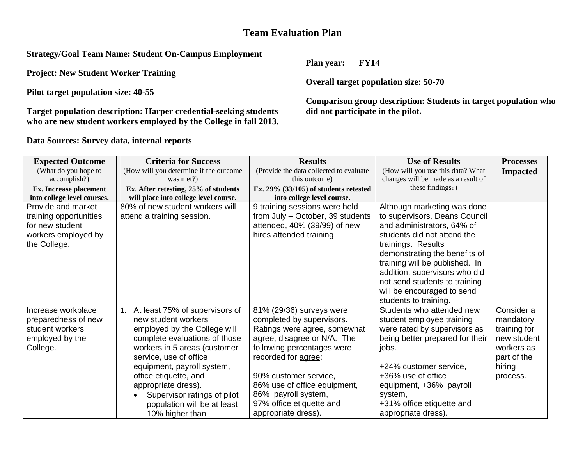## **Team Evaluation Plan**

**Strategy/Goal Team Name: Student On-Campus Employment** 

**Project: New Student Worker Training** 

**Pilot target population size: 40-55** 

**Target population description: Harper credential-seeking students who are new student workers employed by the College in fall 2013.** 

**Data Sources: Survey data, internal reports** 

**Plan year: FY14** 

**Overall target population size: 50-70**

**Comparison group description: Students in target population who did not participate in the pilot.** 

| <b>Expected Outcome</b>     | <b>Criteria for Success</b>            | <b>Results</b>                           | <b>Use of Results</b>               | <b>Processes</b> |
|-----------------------------|----------------------------------------|------------------------------------------|-------------------------------------|------------------|
| (What do you hope to        | (How will you determine if the outcome | (Provide the data collected to evaluate  | (How will you use this data? What   | <b>Impacted</b>  |
| accomplish?)                | was met?)                              | this outcome)                            | changes will be made as a result of |                  |
| Ex. Increase placement      | Ex. After retesting, 25% of students   | Ex. $29\%$ (33/105) of students retested | these findings?)                    |                  |
| into college level courses. | will place into college level course.  | into college level course.               |                                     |                  |
| Provide and market          | 80% of new student workers will        | 9 training sessions were held            | Although marketing was done         |                  |
| training opportunities      | attend a training session.             | from July - October, 39 students         | to supervisors, Deans Council       |                  |
| for new student             |                                        | attended, 40% (39/99) of new             | and administrators, 64% of          |                  |
| workers employed by         |                                        | hires attended training                  | students did not attend the         |                  |
| the College.                |                                        |                                          | trainings. Results                  |                  |
|                             |                                        |                                          | demonstrating the benefits of       |                  |
|                             |                                        |                                          | training will be published. In      |                  |
|                             |                                        |                                          | addition, supervisors who did       |                  |
|                             |                                        |                                          | not send students to training       |                  |
|                             |                                        |                                          | will be encouraged to send          |                  |
|                             |                                        |                                          | students to training.               |                  |
| Increase workplace          | At least 75% of supervisors of         | 81% (29/36) surveys were                 | Students who attended new           | Consider a       |
| preparedness of new         | new student workers                    | completed by supervisors.                | student employee training           | mandatory        |
| student workers             | employed by the College will           | Ratings were agree, somewhat             | were rated by supervisors as        | training for     |
| employed by the             | complete evaluations of those          | agree, disagree or N/A. The              | being better prepared for their     | new student      |
| College.                    | workers in 5 areas (customer           | following percentages were               | jobs.                               | workers as       |
|                             | service, use of office                 | recorded for agree:                      |                                     | part of the      |
|                             | equipment, payroll system,             |                                          | +24% customer service,              | hiring           |
|                             | office etiquette, and                  | 90% customer service,                    | +36% use of office                  | process.         |
|                             | appropriate dress).                    | 86% use of office equipment,             | equipment, +36% payroll             |                  |
|                             | Supervisor ratings of pilot            | 86% payroll system,                      | system,                             |                  |
|                             | population will be at least            | 97% office etiquette and                 | +31% office etiquette and           |                  |
|                             | 10% higher than                        | appropriate dress).                      | appropriate dress).                 |                  |